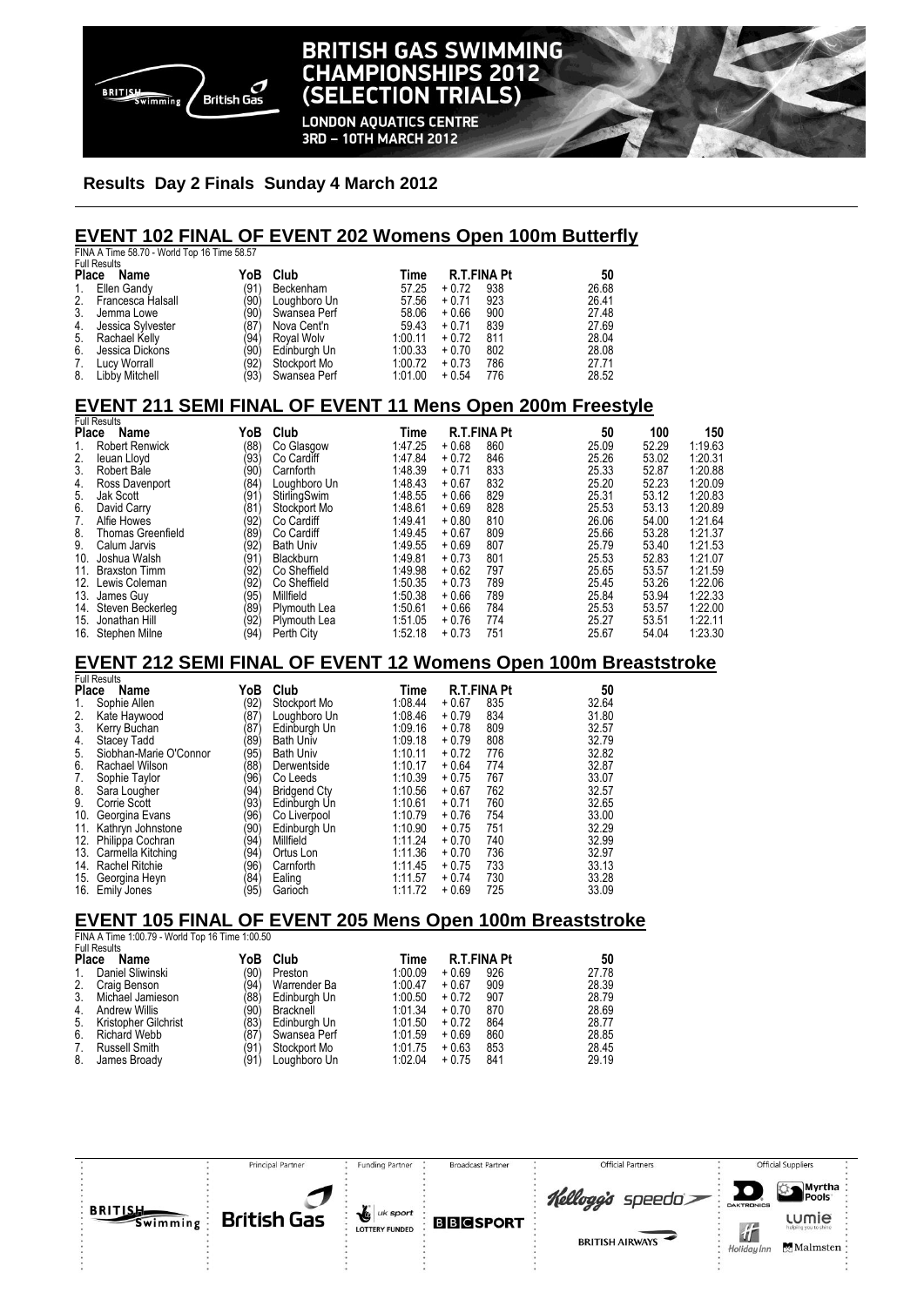

### **BRITISH GAS SWIMMING CHAMPIONSHIPS 2012** (SELECTION TRIALS) **LONDON AQUATICS CENTRE**

3RD - 10TH MARCH 2012

#### **Results Day 2 Finals Sunday 4 March 2012**

# **EVENT 102 FINAL OF EVENT 202 Womens Open 100m Butterfly**  FINA A Time 58.70 - World Top 16 Time 58.57

|    | $1.11$ and $0.10$ and $0.10$ and $0.00$ and $0.00$ . |      |              |         |         |                    |       |
|----|------------------------------------------------------|------|--------------|---------|---------|--------------------|-------|
|    | <b>Full Results</b>                                  |      |              |         |         |                    |       |
|    | Place<br>Name                                        | YoB  | Club         | Time    |         | <b>R.T.FINA Pt</b> | 50    |
| 1. | Ellen Gandy                                          | (91) | Beckenham    | 57.25   | $+0.72$ | 938                | 26.68 |
|    | 2. Francesca Halsall                                 | (90) | Loughboro Un | 57.56   | $+0.71$ | 923                | 26.41 |
| 3. | Jemma Lowe                                           | (90) | Swansea Perf | 58.06   | $+0.66$ | 900                | 27.48 |
| 4. | Jessica Sylvester                                    | (87) | Nova Cent'n  | 59.43   | $+0.71$ | 839                | 27.69 |
|    | 5. Rachael Kelly                                     | (94) | Roval Wolv   | 1:00.11 | $+0.72$ | 811                | 28.04 |
| 6. | Jessica Dickons                                      | (90) | Edinburgh Un | 1:00.33 | $+0.70$ | 802                | 28.08 |
| 7. | Lucy Worrall                                         | (92) | Stockport Mo | 1:00.72 | $+0.73$ | 786                | 27.71 |
| 8. | Libby Mitchell                                       | (93) | Swansea Perf | 1:01.00 | $+0.54$ | 776                | 28.52 |
|    |                                                      |      |              |         |         |                    |       |

# **EVENT 211 SEMI FINAL OF EVENT 11 Mens Open 200m Freestyle**  Full Results

|     | טווטטטו ו שו             |      |                     |         |         |                    |       |       |         |
|-----|--------------------------|------|---------------------|---------|---------|--------------------|-------|-------|---------|
|     | <b>Place</b><br>Name     |      | Club                | Time    |         | <b>R.T.FINA Pt</b> | 50    | 100   | 150     |
|     | <b>Robert Renwick</b>    | (88) | Co Glasgow          | 1:47.25 | $+0.68$ | 860                | 25.09 | 52.29 | 1:19.63 |
| 2.  | leuan Lloyd              | (93) | Co Cardiff          | 1:47.84 | $+0.72$ | 846                | 25.26 | 53.02 | 1:20.31 |
| 3.  | Robert Bale              | (90) | Carnforth           | 1:48.39 | $+0.71$ | 833                | 25.33 | 52.87 | 1:20.88 |
| 4.  | Ross Davenport           | (84) | Loughboro Un        | 1:48.43 | $+0.67$ | 832                | 25.20 | 52.23 | 1:20.09 |
| 5.  | Jak Scott                | (91  | StirlingSwim        | 1:48.55 | $+0.66$ | 829                | 25.31 | 53.12 | 1:20.83 |
| 6.  | David Carry              | (81  | Stockport Mo        | 1:48.61 | $+0.69$ | 828                | 25.53 | 53.13 | 1:20.89 |
| 7.  | Alfie Howes              | (92) | Co Cardiff          | 1:49.41 | $+0.80$ | 810                | 26.06 | 54.00 | 1:21.64 |
| 8.  | <b>Thomas Greenfield</b> | (89  | Co Cardiff          | 1:49.45 | $+0.67$ | 809                | 25.66 | 53.28 | 1:21.37 |
| 9.  | Calum Jarvis             | (92) | <b>Bath Univ</b>    | 1:49.55 | $+0.69$ | 807                | 25.79 | 53.40 | 1:21.53 |
| 10. | Joshua Walsh             | (91  | Blackburn           | 1:49.81 | $+0.73$ | 801                | 25.53 | 52.83 | 1:21.07 |
| 11. | <b>Braxston Timm</b>     | (92) | Co Sheffield        | 1:49.98 | $+0.62$ | 797                | 25.65 | 53.57 | 1:21.59 |
| 12. | Lewis Coleman            | (92) | Co Sheffield        | 1:50.35 | $+0.73$ | 789                | 25.45 | 53.26 | 1:22.06 |
| 13. | James Guy                | (95) | Millfield           | 1:50.38 | $+0.66$ | 789                | 25.84 | 53.94 | 1:22.33 |
| 14. | Steven Beckerleg         | (89  | <b>Plymouth Lea</b> | 1:50.61 | $+0.66$ | 784                | 25.53 | 53.57 | 1:22.00 |
| 15. | Jonathan Hill            | (92) | Plymouth Lea        | 1:51.05 | $+0.76$ | 774                | 25.27 | 53.51 | 1:22.11 |
| 16. | Stephen Milne            | (94) | Perth City          | 1:52.18 | $+0.73$ | 751                | 25.67 | 54.04 | 1:23.30 |

#### **EVENT 212 SEMI FINAL OF EVENT 12 Womens Open 100m Breaststroke**

|              | <b>Full Results</b>    |      |                     |         |         |                    |       |
|--------------|------------------------|------|---------------------|---------|---------|--------------------|-------|
| <b>Place</b> | Name                   | YoB  | Club                | Time    |         | <b>R.T.FINA Pt</b> | 50    |
| 1.           | Sophie Allen           | (92) | Stockport Mo        | 1:08.44 | $+0.67$ | 835                | 32.64 |
| 2.           | Kate Haywood           | (87) | Loughboro Un        | 1:08.46 | $+0.79$ | 834                | 31.80 |
| 3.           | Kerry Buchan           | (87) | Edinburgh Un        | 1:09.16 | $+0.78$ | 809                | 32.57 |
| 4.           | <b>Stacey Tadd</b>     | (89) | <b>Bath Univ</b>    | 1:09.18 | $+0.79$ | 808                | 32.79 |
| 5.           | Siobhan-Marie O'Connor | (95) | <b>Bath Univ</b>    | 1:10.11 | $+0.72$ | 776                | 32.82 |
| 6.           | Rachael Wilson         | (88) | Derwentside         | 1:10.17 | $+0.64$ | 774                | 32.87 |
| 7.           | Sophie Taylor          | (96) | Co Leeds            | 1:10.39 | $+0.75$ | 767                | 33.07 |
| 8.           | Sara Lougher           | (94) | <b>Bridgend Ctv</b> | 1:10.56 | $+0.67$ | 762                | 32.57 |
| 9.           | Corrie Scott           | (93) | Edinburgh Un        | 1:10.61 | $+0.71$ | 760                | 32.65 |
| 10.          | Georgina Evans         | (96) | Co Liverpool        | 1:10.79 | $+0.76$ | 754                | 33.00 |
| 11.          | Kathryn Johnstone      | (90) | Edinburgh Un        | 1:10.90 | $+0.75$ | 751                | 32.29 |
| 12.          | Philippa Cochran       | (94) | Millfield           | 1:11.24 | $+0.70$ | 740                | 32.99 |
| 13.          | Carmella Kitching      | (94) | Ortus Lon           | 1:11.36 | $+0.70$ | 736                | 32.97 |
| 14.          | <b>Rachel Ritchie</b>  | (96) | Carnforth           | 1:11.45 | $+0.75$ | 733                | 33.13 |
| 15.          | Georgina Heyn          | (84) | Ealing              | 1:11.57 | $+0.74$ | 730                | 33.28 |
| 16.          | Emily Jones            | (95) | Garioch             | 1:11.72 | $+0.69$ | 725                | 33.09 |

#### **EVENT 105 FINAL OF EVENT 205 Mens Open 100m Breaststroke**

FINA A Time 1:00.79 - World Top 16 Time 1:00.50

| <b>Full Results</b> |                      |      |              |         |         |                    |       |  |
|---------------------|----------------------|------|--------------|---------|---------|--------------------|-------|--|
| <b>Place</b>        | Name                 | YoB  | Club         | Time    |         | <b>R.T.FINA Pt</b> | 50    |  |
|                     | Daniel Sliwinski     | (90) | Preston      | 1:00.09 | $+0.69$ | 926                | 27.78 |  |
|                     | Craig Benson         | (94) | Warrender Ba | 1:00.47 | $+0.67$ | 909                | 28.39 |  |
|                     | Michael Jamieson     | '88) | Edinburgh Un | 1:00.50 | $+0.72$ | 907                | 28.79 |  |
| 4.                  | <b>Andrew Willis</b> | '90) | Bracknell    | 1:01.34 | $+0.70$ | 870                | 28.69 |  |
| 5.                  | Kristopher Gilchrist | '83) | Edinburgh Un | 1:01.50 | $+0.72$ | 864                | 28.77 |  |
| 6.                  | Richard Webb         | (87) | Swansea Perf | 1:01.59 | $+0.69$ | 860                | 28.85 |  |
|                     | Russell Smith        | '91  | Stockport Mo | 1:01.75 | $+0.63$ | 853                | 28.45 |  |
| 8.                  | James Broady         | (91) | Loughboro Un | 1:02.04 | $+0.75$ | 841                | 29.19 |  |

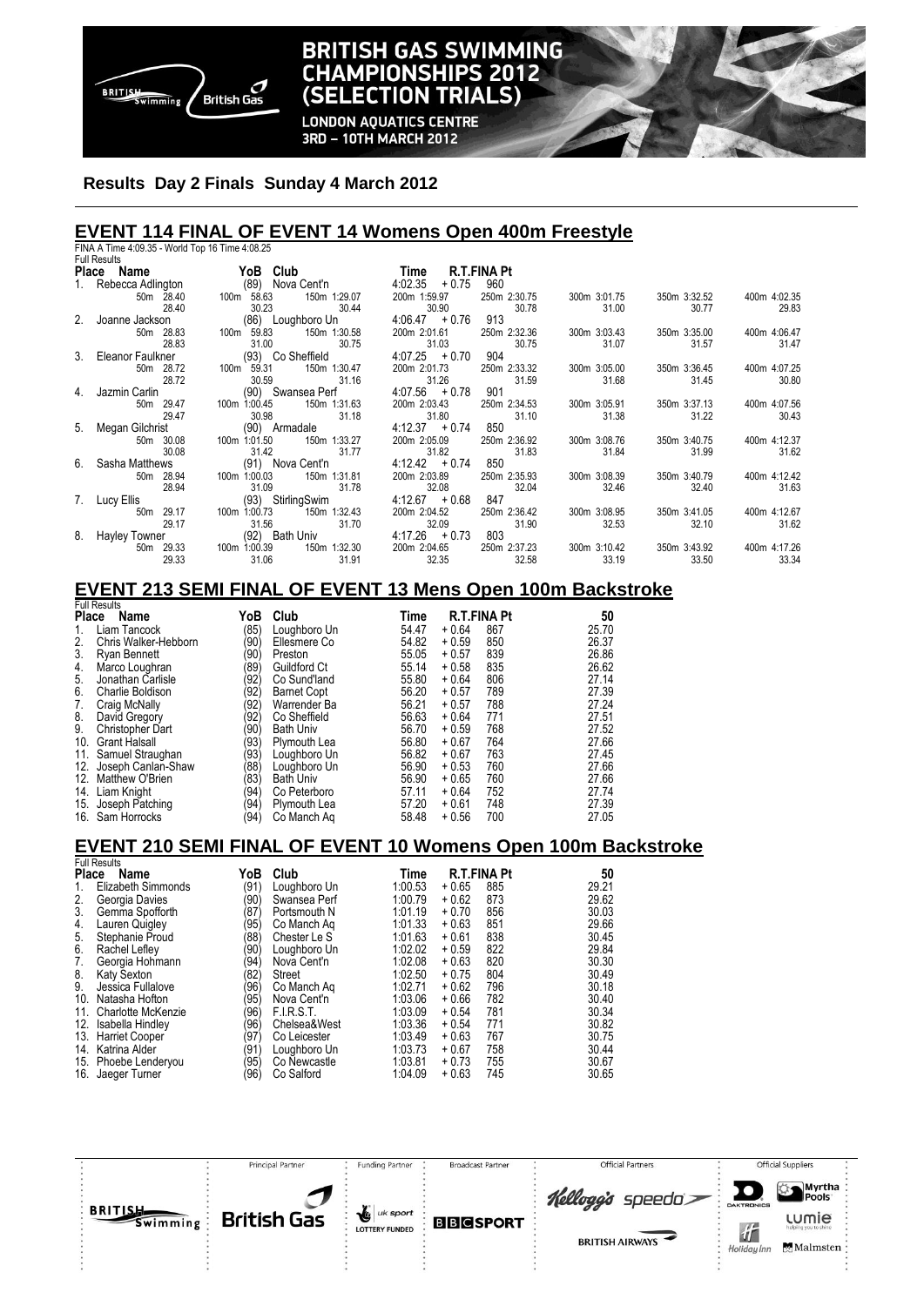

### **BRITISH GAS SWIMMING CHAMPIONSHIPS 2012** (SELECTION TRIALS)

**LONDON AQUATICS CENTRE** 3RD - 10TH MARCH 2012

#### **Results Day 2 Finals Sunday 4 March 2012**

#### **EVENT 114 FINAL OF EVENT 14 Womens Open 400m Freestyle**  FINA A Time 4:09.35 - World Top 16 Time 4:08.25

|    | <b>Full Results</b>     |                                       |                                    |                       |                       |                       |                       |
|----|-------------------------|---------------------------------------|------------------------------------|-----------------------|-----------------------|-----------------------|-----------------------|
|    | Place Name              | YoB Club                              | Time                               | R.T.FINA Pt           |                       |                       |                       |
|    | 1. Rebecca Adlington    | (89) Nova Cent'n                      | 4:02.35<br>$+0.75$                 | 960                   |                       |                       |                       |
|    | 50m 28.40               | 100m 58.63<br>150m 1:29.07            | 200m 1:59.97                       | 250m 2:30.75          | 300m 3:01.75          | 350m 3:32.52          | 400m 4:02.35          |
|    | 28.40                   | 30.23                                 | 30.90<br>30.44                     | 30.78                 | 31.00                 | 30.77                 | 29.83                 |
|    | 2. Joanne Jackson       | (86) Loughboro Un                     | $4.06.47 + 0.76$                   | 913                   |                       |                       |                       |
|    | 50m 28.83               | 100m 59.83<br>150m 1:30.58            | 200m 2:01.61                       | 250m 2:32.36          | 300m 3:03.43          | 350m 3:35.00          | 400m 4:06.47          |
|    | 28.83                   | 31.00                                 | 30.75<br>31.03                     | 30.75                 | 31.07                 | 31.57                 | 31.47                 |
|    | 3. Eleanor Faulkner     | (93) Co Sheffield                     | $4.07.25 + 0.70$                   | 904                   |                       |                       |                       |
|    | 50m 28.72               | 150m 1:30.47<br>100m 59.31            | 200m 2:01.73                       | 250m 2:33.32          | 300m 3:05.00          | 350m 3:36.45          | 400m 4:07.25          |
|    | 28.72                   | 30.59                                 | 31.26<br>31.16                     | 31.59                 | 31.68                 | 31.45                 | 30.80                 |
|    | Jazmin Carlin           | (90) Swansea Perf                     | $4.07.56 + 0.78$                   | 901                   |                       |                       |                       |
|    | 50m 29.47               | 150m 1:31.63<br>100m 1:00.45          | 200m 2:03.43                       | 250m 2:34.53          | 300m 3:05.91          | 350m 3:37.13          | 400m 4:07.56          |
|    | 29.47                   | 30.98                                 | 31.80<br>31.18                     | 31.10                 | 31.38                 | 31.22                 | 30.43                 |
|    | 5. Megan Gilchrist      | (90) Armadale                         | $4:12.37 + 0.74$                   | 850                   |                       |                       |                       |
|    | 50m 30.08               | 150m 1:33.27<br>100m 1:01.50          | 200m 2:05.09                       | 250m 2:36.92          | 300m 3:08.76          | 350m 3:40.75          | 400m 4:12.37          |
| 6. | 30.08<br>Sasha Matthews | 31.42<br>(91) Nova Cent'n             | 31.82<br>31.77<br>$4:12.42 + 0.74$ | 31.83<br>850          | 31.84                 | 31.99                 | 31.62                 |
|    |                         |                                       |                                    |                       |                       |                       |                       |
|    | 50m 28.94<br>28.94      | 100m 1:00.03<br>150m 1:31.81<br>31.09 | 200m 2:03.89<br>32.08<br>31.78     | 250m 2:35.93<br>32.04 | 300m 3:08.39<br>32.46 | 350m 3:40.79<br>32.40 | 400m 4:12.42<br>31.63 |
|    | 7. Lucy Ellis           | (93) Stirling Swim                    | $4:12.67 + 0.68$                   | 847                   |                       |                       |                       |
|    | 50m 29.17               | 150m 1:32.43<br>100m 1:00.73          | 200m 2:04.52                       | 250m 2:36.42          | 300m 3:08.95          | 350m 3:41.05          | 400m 4:12.67          |
|    | 29.17                   | 31.56                                 | 31.70<br>32.09                     | 31.90                 | 32.53                 | 32.10                 | 31.62                 |
| 8. | Hayley Towner           | (92) Bath Univ                        | $4:17.26 + 0.73$                   | 803                   |                       |                       |                       |
|    | 29.33<br>50m            | 100m 1:00.39<br>150m 1:32.30          | 200m 2:04.65                       | 250m 2:37.23          | 300m 3:10.42          | 350m 3:43.92          | 400m 4:17.26          |
|    | 29.33                   | 31.06                                 | 31.91<br>32.35                     | 32.58                 | 33.19                 | 33.50                 | 33.34                 |

#### **EVENT 213 SEMI FINAL OF EVENT 13 Mens Open 100m Backstroke**

|              | <b>Full Results</b>  |      |                     |       |                    |     |       |
|--------------|----------------------|------|---------------------|-------|--------------------|-----|-------|
| <b>Place</b> | Name                 | YoB  | Club                | Time  | <b>R.T.FINA Pt</b> |     | 50    |
| 1.           | Liam Tancock         | (85) | Loughboro Un        | 54.47 | $+0.64$            | 867 | 25.70 |
| 2.           | Chris Walker-Hebborn | (90) | Ellesmere Co        | 54.82 | $+0.59$            | 850 | 26.37 |
| 3.           | <b>Ryan Bennett</b>  | (90) | Preston             | 55.05 | $+0.57$            | 839 | 26.86 |
| 4.           | Marco Loughran       | (89) | <b>Guildford Ct</b> | 55.14 | $+0.58$            | 835 | 26.62 |
| 5.           | Jonathan Carlisle    | (92) | Co Sund'land        | 55.80 | $+0.64$            | 806 | 27.14 |
| 6.           | Charlie Boldison     | (92) | <b>Barnet Copt</b>  | 56.20 | $+0.57$            | 789 | 27.39 |
| 7.           | Craig McNally        | (92) | Warrender Ba        | 56.21 | $+0.57$            | 788 | 27.24 |
| 8.           | David Gregory        | (92) | Co Sheffield        | 56.63 | $+0.64$            | 771 | 27.51 |
| 9.           | Christopher Dart     | (90) | <b>Bath Univ</b>    | 56.70 | $+0.59$            | 768 | 27.52 |
| 10.          | <b>Grant Halsall</b> | (93) | Plymouth Lea        | 56.80 | $+0.67$            | 764 | 27.66 |
| 11.          | Samuel Straughan     | (93) | Loughboro Un        | 56.82 | $+0.67$            | 763 | 27.45 |
| 12.          | Joseph Canlan-Shaw   | (88) | Loughboro Un        | 56.90 | $+0.53$            | 760 | 27.66 |
| 12.          | Matthew O'Brien      | (83) | <b>Bath Univ</b>    | 56.90 | $+0.65$            | 760 | 27.66 |
| 14.          | Liam Knight          | (94) | Co Peterboro        | 57.11 | $+0.64$            | 752 | 27.74 |
| 15.          | Joseph Patching      | (94) | Plymouth Lea        | 57.20 | $+0.61$            | 748 | 27.39 |
| 16.          | Sam Horrocks         | (94) | Co Manch Ag         | 58.48 | $+0.56$            | 700 | 27.05 |

#### **EVENT 210 SEMI FINAL OF EVENT 10 Womens Open 100m Backstroke**

|              | <b>Full Results</b> |      |              |         |                    |     |       |
|--------------|---------------------|------|--------------|---------|--------------------|-----|-------|
| <b>Place</b> | Name                | YoB  | Club         | Time    | <b>R.T.FINA Pt</b> |     | 50    |
| 1.           | Elizabeth Simmonds  | (91) | Loughboro Un | 1:00.53 | $+0.65$            | 885 | 29.21 |
| 2.           | Georgia Davies      | (90) | Swansea Perf | 1:00.79 | $+0.62$            | 873 | 29.62 |
| 3.           | Gemma Spofforth     | (87) | Portsmouth N | 1:01.19 | $+0.70$            | 856 | 30.03 |
| 4.           | Lauren Quigley      | (95) | Co Manch Aq  | 1:01.33 | $+0.63$            | 851 | 29.66 |
| 5.           | Stephanie Proud     | (88) | Chester Le S | 1:01.63 | $+0.61$            | 838 | 30.45 |
| 6.           | Rachel Lefley       | (90) | Loughboro Un | 1:02.02 | $+0.59$            | 822 | 29.84 |
| 7.           | Georgia Hohmann     | (94) | Nova Cent'n  | 1:02.08 | $+0.63$            | 820 | 30.30 |
| 8.           | Katy Sexton         | (82) | Street       | 1:02.50 | $+0.75$            | 804 | 30.49 |
| 9.           | Jessica Fullalove   | (96) | Co Manch Ag  | 1:02.71 | $+0.62$            | 796 | 30.18 |
| 10.          | Natasha Hofton      | (95) | Nova Cent'n  | 1:03.06 | $+0.66$            | 782 | 30.40 |
| 11.          | Charlotte McKenzie  | (96) | F.I.R.S.T.   | 1:03.09 | $+0.54$            | 781 | 30.34 |
| 12.          | Isabella Hindley    | (96) | Chelsea&West | 1:03.36 | $+0.54$            | 771 | 30.82 |
| 13.          | Harriet Cooper      | (97) | Co Leicester | 1:03.49 | $+0.63$            | 767 | 30.75 |
| 14.          | Katrina Alder       | (91) | Loughboro Un | 1:03.73 | $+0.67$            | 758 | 30.44 |
| 15.          | Phoebe Lenderyou    | (95) | Co Newcastle | 1:03.81 | $+0.73$            | 755 | 30.67 |
| 16.          | Jaeger Turner       | (96) | Co Salford   | 1:04.09 | $+0.63$            | 745 | 30.65 |

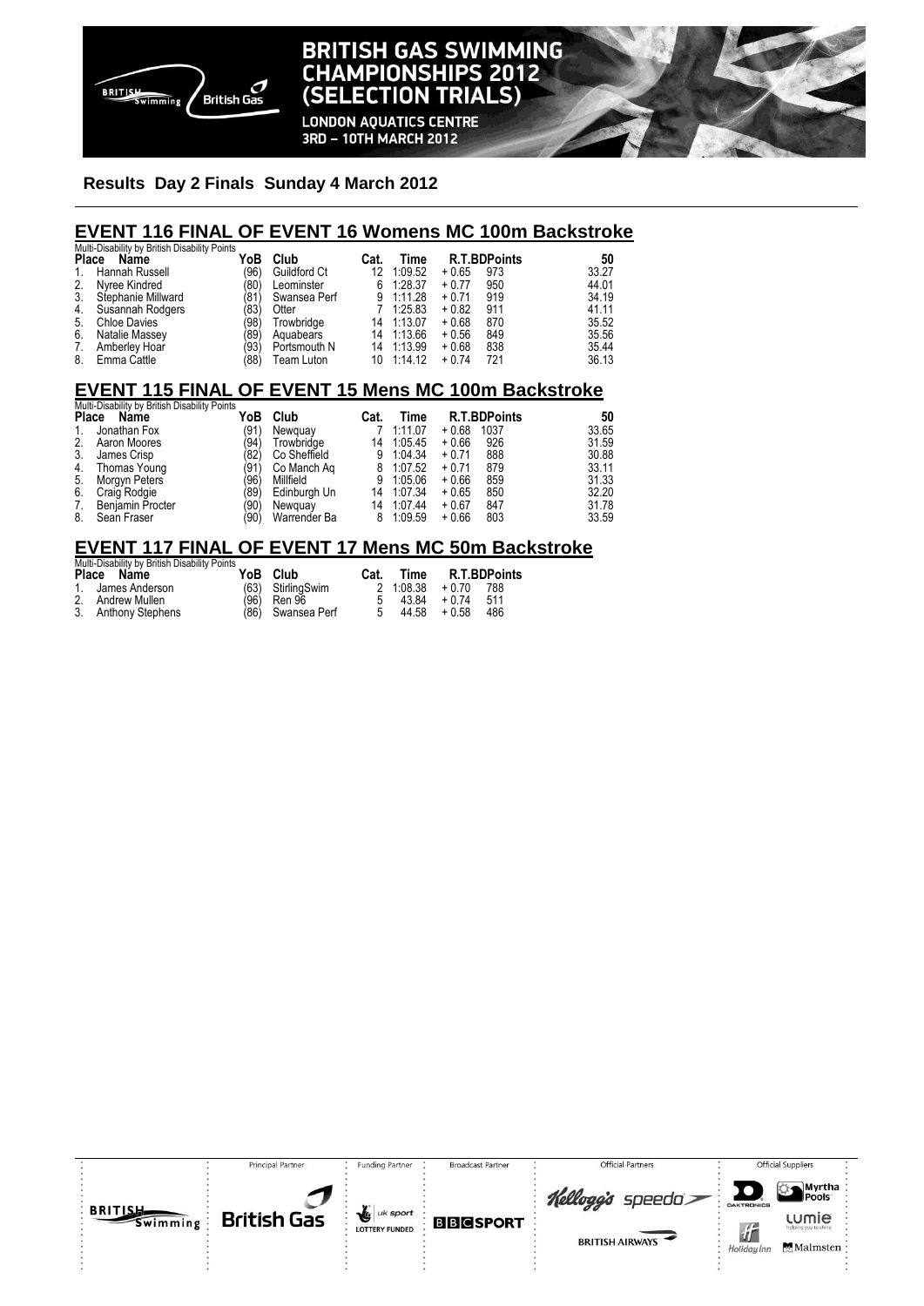

### **BRITISH GAS SWIMMING CHAMPIONSHIPS 2012** (SELECTION TRIALS)

**LONDON AQUATICS CENTRE** 3RD - 10TH MARCH 2012

#### **Results Day 2 Finals Sunday 4 March 2012**

#### **EVENT 116 FINAL OF EVENT 16 Womens MC 100m Backstroke**

|    | Multi-Disability by British Disability Points |      |              |      |            |         |                     |       |
|----|-----------------------------------------------|------|--------------|------|------------|---------|---------------------|-------|
|    | Place Name                                    | YoB  | Club         | Cat. | Time       |         | <b>R.T.BDPoints</b> | 50    |
| 1. | Hannah Russell                                | (96) | Guildford Ct | 12   | 1:09.52    | $+0.65$ | 973                 | 33.27 |
| 2. | Nvree Kindred                                 | (80) | Leominster   | 6    | 1:28.37    | $+0.77$ | 950                 | 44.01 |
| 3. | Stephanie Millward                            | (81) | Swansea Perf |      | 9 1:11.28  | $+0.71$ | 919                 | 34.19 |
| 4. | Susannah Rodgers                              | '83) | Otter        |      | 1:25.83    | $+0.82$ | 911                 | 41.11 |
| 5. | <b>Chloe Davies</b>                           | '98) | Trowbridge   | 14   | 1:13.07    | $+0.68$ | 870                 | 35.52 |
| 6. | Natalie Massey                                | '89) | Aquabears    |      | 14 1:13.66 | $+0.56$ | 849                 | 35.56 |
| 7. | Amberley Hoar                                 | (93) | Portsmouth N |      | 14 1:13.99 | $+0.68$ | 838                 | 35.44 |
| 8. | Emma Cattle                                   | 88)  | Team Luton   |      | 10 1:14.12 | $+0.74$ | 721                 | 36.13 |

#### **EVENT 115 FINAL OF EVENT 15 Mens MC 100m Backstroke**

| Multi-Disability by British Disability Points |                         |      |              |      |         |                     |       |  |  |
|-----------------------------------------------|-------------------------|------|--------------|------|---------|---------------------|-------|--|--|
| <b>Place</b>                                  | Name                    | YoB  | Club         | Cat. | Time    | <b>R.T.BDPoints</b> | 50    |  |  |
| 1.                                            | Jonathan Fox            | (91) | Newguay      |      | 1:11.07 | $+0.68$<br>1037     | 33.65 |  |  |
| 2.                                            | Aaron Moores            | (94) | Trowbridae   | 14   | 1:05.45 | 926<br>$+0.66$      | 31.59 |  |  |
| 3.                                            | James Crisp             | (82) | Co Sheffield | 9    | 1:04.34 | 888<br>$+0.71$      | 30.88 |  |  |
| 4.                                            | Thomas Young            | (91) | Co Manch Ag  | 8    | 1:07.52 | 879<br>$+0.71$      | 33.11 |  |  |
| 5.                                            | Morgyn Peters           | (96) | Millfield    | 9    | 1:05.06 | 859<br>$+0.66$      | 31.33 |  |  |
| 6.                                            | Craig Rodgie            | (89) | Edinburgh Un | 14   | 1:07.34 | $+0.65$<br>850      | 32.20 |  |  |
| 7.                                            | <b>Benjamin Procter</b> | (90) | Newquay      | 14   | 1:07.44 | 847<br>$+0.67$      | 31.78 |  |  |
| 8.                                            | Sean Fraser             | '90) | Warrender Ba | 8    | 1:09.59 | 803<br>$+0.66$      | 33.59 |  |  |

#### **EVENT 117 FINAL OF EVENT 17 Mens MC 50m Backstroke**

| Multi-Disability by British Disability Points |                                                       |      |                                    |                   |       |
|-----------------------------------------------|-------------------------------------------------------|------|------------------------------------|-------------------|-------|
| Place Name                                    | YoB Club                                              | Cat. |                                    | Time R.T.BDPoints |       |
| 1. James Anderson                             | (63) StirlingSwim<br>(96) Ren 96<br>(86) Swansea Perf |      | $2 \t1.08.38 + 0.70$               |                   | - 788 |
| 2. Andrew Mullen                              |                                                       |      | $5\quad 43.84\quad +0.74\quad 511$ |                   |       |
| 3. Anthony Stephens                           |                                                       |      | $5\quad 44.58\quad +0.58$          |                   | 486   |

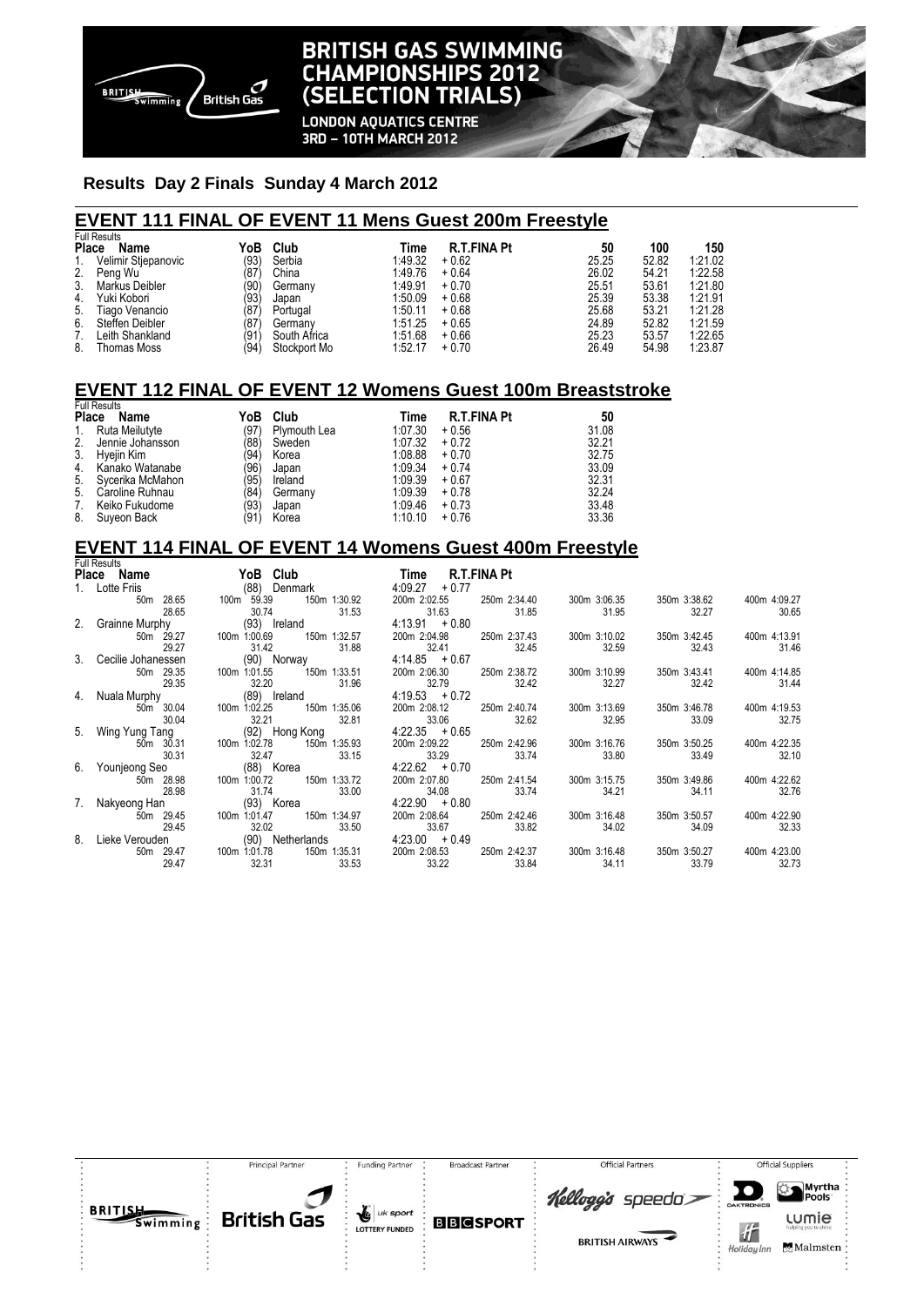

## **BRITISH GAS SWIMMING CHAMPIONSHIPS 2012** (SELECTION TRIALS)

**LONDON AQUATICS CENTRE** 3RD - 10TH MARCH 2012

#### **Results Day 2 Finals Sunday 4 March 2012**

#### **EVENT 111 FINAL OF EVENT 11 Mens Guest 200m Freestyle**

|       | <b>Full Results</b> |      |              |         |                    |       |       |         |  |  |
|-------|---------------------|------|--------------|---------|--------------------|-------|-------|---------|--|--|
| Place | Name                | YoB  | Club         | Time    | <b>R.T.FINA Pt</b> | 50    | 100   | 150     |  |  |
| 1.    | Velimir Stjepanovic | (93) | Serbia       | 1:49.32 | $+0.62$            | 25.25 | 52.82 | 1:21.02 |  |  |
|       | 2. Peng Wu          | (87  | China        | 1:49.76 | $+0.64$            | 26.02 | 54.21 | 1:22.58 |  |  |
| 3.    | Markus Deibler      | (90) | Germany      | 1:49.91 | $+0.70$            | 25.51 | 53.61 | 1:21.80 |  |  |
| 4.    | Yuki Kobori         | (93) | Japan        | 1:50.09 | $+0.68$            | 25.39 | 53.38 | 1:21.91 |  |  |
| 5.    | Tiago Venancio      | (87) | Portugal     | 1:50.11 | $+0.68$            | 25.68 | 53.21 | 1:21.28 |  |  |
| 6.    | Steffen Deibler     | (87  | Germany      | 1:51.25 | $+0.65$            | 24.89 | 52.82 | 1:21.59 |  |  |
| 7.    | Leith Shankland     | (91) | South Africa | 1:51.68 | $+0.66$            | 25.23 | 53.57 | 1:22.65 |  |  |
| 8.    | <b>Thomas Moss</b>  | (94) | Stockport Mo | 1:52.17 | $+0.70$            | 26.49 | 54.98 | 1:23.87 |  |  |

#### **EVENT 112 FINAL OF EVENT 12 Womens Guest 100m Breaststroke**

| <b>Full Results</b> |                  |      |              |         |                    |       |  |  |  |  |
|---------------------|------------------|------|--------------|---------|--------------------|-------|--|--|--|--|
| Place               | Name             | YoB  | Club         | Time    | <b>R.T.FINA Pt</b> | 50    |  |  |  |  |
| $1_{\cdot}$         | Ruta Meilutyte   | (97) | Plymouth Lea | 1:07.30 | $+0.56$            | 31.08 |  |  |  |  |
| 2.                  | Jennie Johansson | (88) | Sweden       | 1:07.32 | $+0.72$            | 32.21 |  |  |  |  |
| 3.                  | Hyejin Kim       | (94) | Korea        | 1:08.88 | $+0.70$            | 32.75 |  |  |  |  |
| 4.                  | Kanako Watanabe  | (96) | Japan        | 1:09.34 | $+0.74$            | 33.09 |  |  |  |  |
| 5.                  | Sycerika McMahon | (95) | Ireland      | 1:09.39 | $+0.67$            | 32.31 |  |  |  |  |
| 5.                  | Caroline Ruhnau  | (84) | Germany      | 1:09.39 | $+0.78$            | 32.24 |  |  |  |  |
| 7.                  | Keiko Fukudome   | (93) | Japan        | 1:09.46 | $+0.73$            | 33.48 |  |  |  |  |
| 8.                  | Suyeon Back      | (91) | Korea        | 1:10.10 | $+0.76$            | 33.36 |  |  |  |  |

### **EVENT 114 FINAL OF EVENT 14 Womens Guest 400m Freestyle**

|  | <b>Full Results</b>                  |                               |                       |                       |                       |                       |                       |                       |
|--|--------------------------------------|-------------------------------|-----------------------|-----------------------|-----------------------|-----------------------|-----------------------|-----------------------|
|  | Place Name                           | YoB Club                      |                       | Time                  | R.T.FINA Pt           |                       |                       |                       |
|  | 1. Lotte Friis                       | (88) Denmark                  |                       | 4:09.27<br>$+0.77$    |                       |                       |                       |                       |
|  | 50m 28.65<br>28.65                   | 100m 59.39<br>30.74           | 150m 1:30.92<br>31.53 | 200m 2:02.55<br>31.63 | 250m 2:34.40<br>31.85 | 300m 3:06.35<br>31.95 | 350m 3:38.62<br>32.27 | 400m 4:09.27<br>30.65 |
|  | 2. Grainne Murphy                    | (93) Ireland                  |                       | $4:13.91 + 0.80$      |                       |                       |                       |                       |
|  | 50m 29.27<br>29.27                   | 100m 1:00.69<br>31.42         | 150m 1:32.57<br>31.88 | 200m 2:04.98<br>32.41 | 250m 2:37.43<br>32.45 | 300m 3:10.02<br>32.59 | 350m 3:42.45<br>32.43 | 400m 4:13.91<br>31.46 |
|  | 3. Cecilie Johanessen<br>(90) Norway |                               | $4:14.85 + 0.67$      |                       |                       |                       |                       |                       |
|  | 50m 29.35<br>29.35                   | 100m 1:01.55<br>32.20         | 150m 1:33.51<br>31.96 | 200m 2:06.30<br>32.79 | 250m 2:38.72<br>32.42 | 300m 3:10.99<br>32.27 | 350m 3:43.41<br>32.42 | 400m 4:14.85<br>31.44 |
|  | 4. Nuala Murphy                      | (89) Ireland                  |                       | $4:19.53 + 0.72$      |                       |                       |                       |                       |
|  | 50m 30.04                            | 100m 1:02.25                  | 150m 1:35.06          | 200m 2:08.12          | 250m 2:40.74          | 300m 3:13.69          | 350m 3:46.78          | 400m 4:19.53          |
|  | 30.04                                | 32.21                         | 32.81                 | 33.06                 | 32.62                 | 32.95                 | 33.09                 | 32.75                 |
|  | 5. Wing Yung Tang<br>(92) Hong Kong  |                               | $4:22.35 + 0.65$      |                       |                       |                       |                       |                       |
|  | 50m 30.31<br>30.31                   | 100m 1:02.78<br>32.47         | 150m 1:35.93<br>33.15 | 200m 2:09.22<br>33.29 | 250m 2:42.96<br>33.74 | 300m 3:16.76<br>33.80 | 350m 3:50.25<br>33.49 | 400m 4:22.35<br>32.10 |
|  | 6. Younjeong Seo                     | (88) Korea                    |                       | $4:22.62 + 0.70$      |                       |                       |                       |                       |
|  | 50m 28.98<br>28.98                   | 100m 1:00.72<br>31.74         | 150m 1:33.72<br>33.00 | 200m 2:07.80<br>34.08 | 250m 2:41.54<br>33.74 | 300m 3:15.75<br>34.21 | 350m 3:49.86<br>34.11 | 400m 4:22.62<br>32.76 |
|  |                                      | 7. Nakyeong Han<br>(93) Korea |                       | $4.22.90 + 0.80$      |                       |                       |                       |                       |
|  | 50m 29.45<br>29.45                   | 100m 1:01.47<br>32.02         | 150m 1:34.97<br>33.50 | 200m 2:08.64<br>33.67 | 250m 2:42.46<br>33.82 | 300m 3:16.48<br>34.02 | 350m 3:50.57<br>34.09 | 400m 4:22.90<br>32.33 |
|  | 8. Lieke Verouden                    | (90) Netherlands              |                       | $4.23.00 + 0.49$      |                       |                       |                       |                       |
|  | 50m 29.47<br>29.47                   | 100m 1:01.78<br>32.31         | 150m 1:35.31<br>33.53 | 200m 2:08.53<br>33.22 | 250m 2:42.37<br>33.84 | 300m 3:16.48<br>34.11 | 350m 3:50.27<br>33.79 | 400m 4:23.00<br>32.73 |